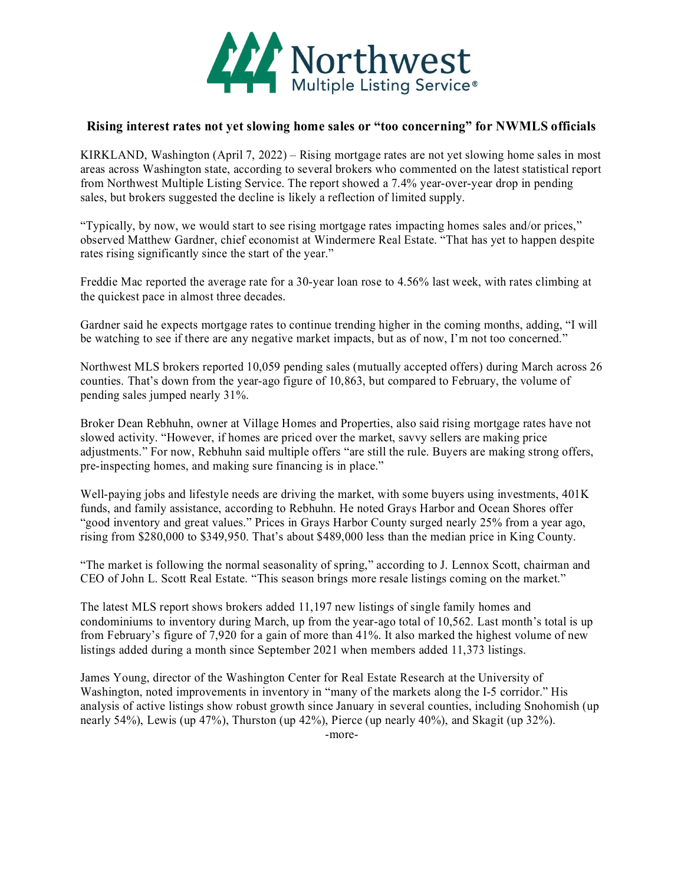

## **Rising interest rates not yet slowing home sales or "too concerning" for NWMLS officials**

KIRKLAND, Washington (April 7, 2022) – Rising mortgage rates are not yet slowing home sales in most areas across Washington state, according to several brokers who commented on the latest statistical report from Northwest Multiple Listing Service. The report showed a 7.4% year-over-year drop in pending sales, but brokers suggested the decline is likely a reflection of limited supply.

"Typically, by now, we would start to see rising mortgage rates impacting homes sales and/or prices," observed Matthew Gardner, chief economist at Windermere Real Estate. "That has yet to happen despite rates rising significantly since the start of the year."

Freddie Mac reported the average rate for a 30-year loan rose to 4.56% last week, with rates climbing at the quickest pace in almost three decades.

Gardner said he expects mortgage rates to continue trending higher in the coming months, adding, "I will be watching to see if there are any negative market impacts, but as of now, I'm not too concerned."

Northwest MLS brokers reported 10,059 pending sales (mutually accepted offers) during March across 26 counties. That's down from the year-ago figure of 10,863, but compared to February, the volume of pending sales jumped nearly 31%.

Broker Dean Rebhuhn, owner at Village Homes and Properties, also said rising mortgage rates have not slowed activity. "However, if homes are priced over the market, savvy sellers are making price adjustments." For now, Rebhuhn said multiple offers "are still the rule. Buyers are making strong offers, pre-inspecting homes, and making sure financing is in place."

Well-paying jobs and lifestyle needs are driving the market, with some buyers using investments, 401K funds, and family assistance, according to Rebhuhn. He noted Grays Harbor and Ocean Shores offer "good inventory and great values." Prices in Grays Harbor County surged nearly 25% from a year ago, rising from \$280,000 to \$349,950. That's about \$489,000 less than the median price in King County.

"The market is following the normal seasonality of spring," according to J. Lennox Scott, chairman and CEO of John L. Scott Real Estate. "This season brings more resale listings coming on the market."

The latest MLS report shows brokers added 11,197 new listings of single family homes and condominiums to inventory during March, up from the year-ago total of 10,562. Last month's total is up from February's figure of 7,920 for a gain of more than 41%. It also marked the highest volume of new listings added during a month since September 2021 when members added 11,373 listings.

James Young, director of the Washington Center for Real Estate Research at the University of Washington, noted improvements in inventory in "many of the markets along the I-5 corridor." His analysis of active listings show robust growth since January in several counties, including Snohomish (up nearly 54%), Lewis (up 47%), Thurston (up 42%), Pierce (up nearly 40%), and Skagit (up 32%).

-more-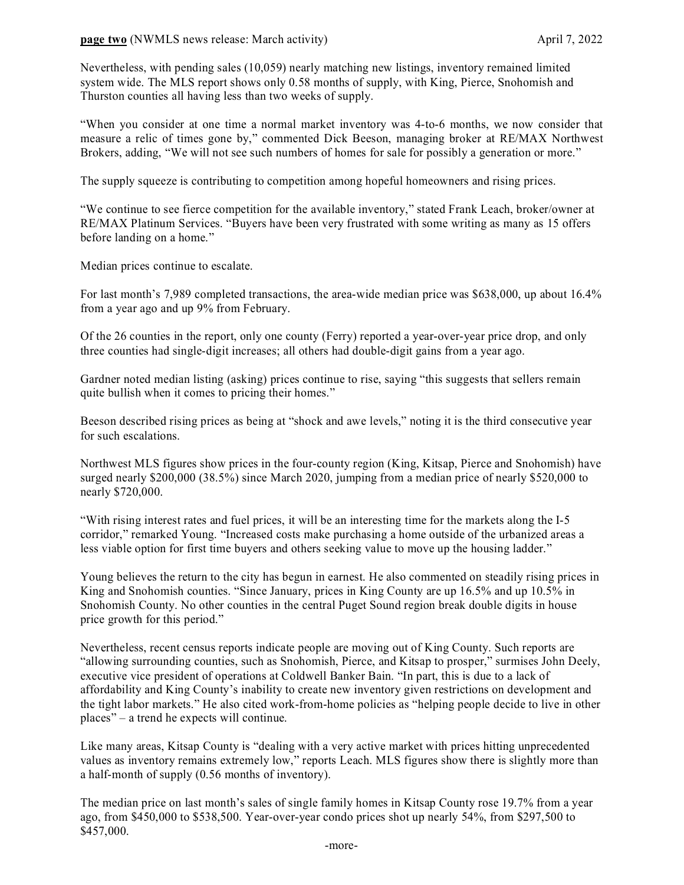## **page two** (NWMLS news release: March activity) April 7, 2022

Nevertheless, with pending sales (10,059) nearly matching new listings, inventory remained limited system wide. The MLS report shows only 0.58 months of supply, with King, Pierce, Snohomish and Thurston counties all having less than two weeks of supply.

"When you consider at one time a normal market inventory was 4-to-6 months, we now consider that measure a relic of times gone by," commented Dick Beeson, managing broker at RE/MAX Northwest Brokers, adding, "We will not see such numbers of homes for sale for possibly a generation or more."

The supply squeeze is contributing to competition among hopeful homeowners and rising prices.

"We continue to see fierce competition for the available inventory," stated Frank Leach, broker/owner at RE/MAX Platinum Services. "Buyers have been very frustrated with some writing as many as 15 offers before landing on a home."

Median prices continue to escalate.

For last month's 7,989 completed transactions, the area-wide median price was \$638,000, up about 16.4% from a year ago and up 9% from February.

Of the 26 counties in the report, only one county (Ferry) reported a year-over-year price drop, and only three counties had single-digit increases; all others had double-digit gains from a year ago.

Gardner noted median listing (asking) prices continue to rise, saying "this suggests that sellers remain quite bullish when it comes to pricing their homes."

Beeson described rising prices as being at "shock and awe levels," noting it is the third consecutive year for such escalations.

Northwest MLS figures show prices in the four-county region (King, Kitsap, Pierce and Snohomish) have surged nearly \$200,000 (38.5%) since March 2020, jumping from a median price of nearly \$520,000 to nearly \$720,000.

"With rising interest rates and fuel prices, it will be an interesting time for the markets along the I-5 corridor," remarked Young. "Increased costs make purchasing a home outside of the urbanized areas a less viable option for first time buyers and others seeking value to move up the housing ladder."

Young believes the return to the city has begun in earnest. He also commented on steadily rising prices in King and Snohomish counties. "Since January, prices in King County are up 16.5% and up 10.5% in Snohomish County. No other counties in the central Puget Sound region break double digits in house price growth for this period."

Nevertheless, recent census reports indicate people are moving out of King County. Such reports are "allowing surrounding counties, such as Snohomish, Pierce, and Kitsap to prosper," surmises John Deely, executive vice president of operations at Coldwell Banker Bain. "In part, this is due to a lack of affordability and King County's inability to create new inventory given restrictions on development and the tight labor markets." He also cited work-from-home policies as "helping people decide to live in other places" – a trend he expects will continue.

Like many areas, Kitsap County is "dealing with a very active market with prices hitting unprecedented values as inventory remains extremely low," reports Leach. MLS figures show there is slightly more than a half-month of supply (0.56 months of inventory).

The median price on last month's sales of single family homes in Kitsap County rose 19.7% from a year ago, from \$450,000 to \$538,500. Year-over-year condo prices shot up nearly 54%, from \$297,500 to \$457,000.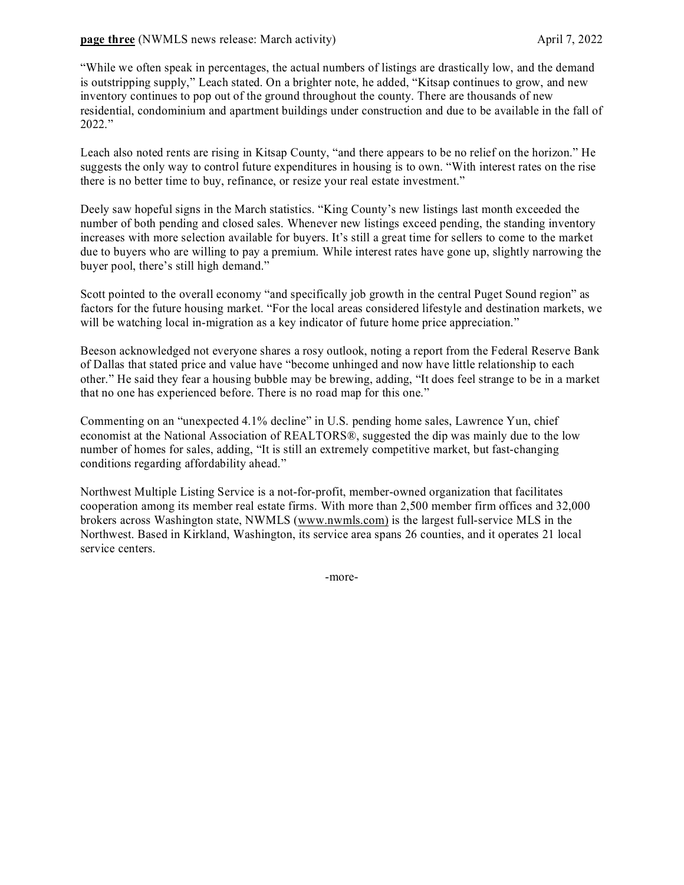## **page three** (NWMLS news release: March activity) April 7, 2022

"While we often speak in percentages, the actual numbers of listings are drastically low, and the demand is outstripping supply," Leach stated. On a brighter note, he added, "Kitsap continues to grow, and new inventory continues to pop out of the ground throughout the county. There are thousands of new residential, condominium and apartment buildings under construction and due to be available in the fall of 2022."

Leach also noted rents are rising in Kitsap County, "and there appears to be no relief on the horizon." He suggests the only way to control future expenditures in housing is to own. "With interest rates on the rise there is no better time to buy, refinance, or resize your real estate investment."

Deely saw hopeful signs in the March statistics. "King County's new listings last month exceeded the number of both pending and closed sales. Whenever new listings exceed pending, the standing inventory increases with more selection available for buyers. It's still a great time for sellers to come to the market due to buyers who are willing to pay a premium. While interest rates have gone up, slightly narrowing the buyer pool, there's still high demand."

Scott pointed to the overall economy "and specifically job growth in the central Puget Sound region" as factors for the future housing market. "For the local areas considered lifestyle and destination markets, we will be watching local in-migration as a key indicator of future home price appreciation."

Beeson acknowledged not everyone shares a rosy outlook, noting a report from the Federal Reserve Bank of Dallas that stated price and value have "become unhinged and now have little relationship to each other." He said they fear a housing bubble may be brewing, adding, "It does feel strange to be in a market that no one has experienced before. There is no road map for this one."

Commenting on an "unexpected 4.1% decline" in U.S. pending home sales, Lawrence Yun, chief economist at the National Association of REALTORS®, suggested the dip was mainly due to the low number of homes for sales, adding, "It is still an extremely competitive market, but fast-changing conditions regarding affordability ahead."

Northwest Multiple Listing Service is a not-for-profit, member-owned organization that facilitates cooperation among its member real estate firms. With more than 2,500 member firm offices and 32,000 brokers across Washington state, NWMLS [\(www.nwmls.com\)](http://www.nwmls.com/) is the largest full-service MLS in the Northwest. Based in Kirkland, Washington, its service area spans 26 counties, and it operates 21 local service centers.

-more-